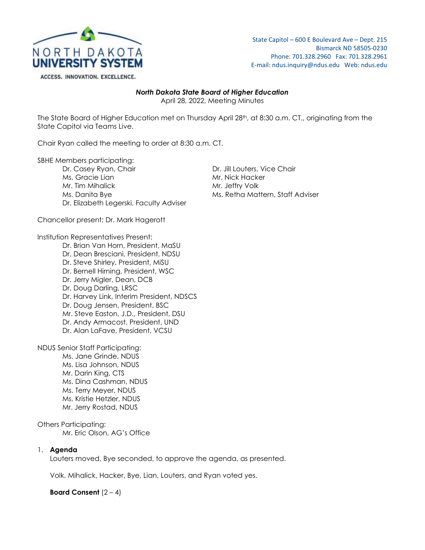

## State Capitol – 600 E Boulevard Ave – Dept. 215 Bismarck ND 58505-0230 Phone: 701.328.2960 Fax: 701.328.2961 E-mail: ndus.inquiry@ndus.edu Web: ndus.edu

# *North Dakota State Board of Higher Education*

April 28, 2022, Meeting Minutes

The State Board of Higher Education met on Thursday April 28<sup>th</sup>, at 8:30 a.m. CT., originating from the State Capitol via Teams Live.

Chair Ryan called the meeting to order at 8:30 a.m. CT.

SBHE Members participating:

Dr. Casey Ryan, Chair Dr. Jill Louters, Vice Chair Mr. Tim Mihalick Mr. Jeffry Volk Ms. Danita Bye Ms. Retha Mattern, Staff Adviser Dr. Elizabeth Legerski, Faculty Adviser

Mr. Nick Hacker

Chancellor present: Dr. Mark Hagerott

## Institution Representatives Present:

Dr. Brian Van Horn, President, MaSU Dr. Dean Bresciani, President, NDSU Dr. Steve Shirley, President, MiSU Dr. Bernell Hirning, President, WSC Dr. Jerry Migler, Dean, DCB Dr. Doug Darling, LRSC Dr. Harvey Link, Interim President, NDSCS Dr. Doug Jensen, President, BSC Mr. Steve Easton, J.D., President, DSU Dr. Andy Armacost, President, UND Dr. Alan LaFave, President, VCSU

NDUS Senior Staff Participating:

Ms. Jane Grinde, NDUS Ms. Lisa Johnson, NDUS Mr. Darin King, CTS Ms. Dina Cashman, NDUS Ms. Terry Meyer, NDUS Ms. Kristie Hetzler, NDUS Mr. Jerry Rostad, NDUS

Others Participating:

Mr. Eric Olson, AG's Office

# 1. **Agenda**

Louters moved, Bye seconded, to approve the agenda, as presented.

Volk, Mihalick, Hacker, Bye, Lian, Louters, and Ryan voted yes.

# **Board Consent** (2 – 4)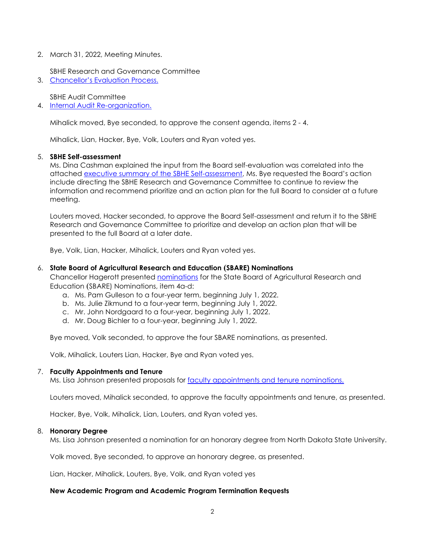2. March 31, 2022, Meeting Minutes.

SBHE Research and Governance Committee

3. [Chancellor's Evaluation Process.](https://ndusbpos.sharepoint.com/:b:/s/NDUSSBHE/EbYUPnPMrRdFms7M3NE2aQwBzjSnsLkd4wQSwauXB3HAsw?e=SysUj3)

SBHE Audit Committee

4. [Internal Audit Re-organization.](https://ndusbpos.sharepoint.com/:i:/s/NDUSSBHE/EcoyIK16CmFAiGUp45HabyMB2t0XT1quzn1YmSI1PSRj2A?e=4bM9vf)

Mihalick moved, Bye seconded, to approve the consent agenda, items 2 - 4.

Mihalick, Lian, Hacker, Bye, Volk, Louters and Ryan voted yes.

#### 5. **SBHE Self-assessment**

Ms. Dina Cashman explained the input from the Board self-evaluation was correlated into the attached [executive summary of the SBHE Self-assessment,](https://ndusbpos.sharepoint.com/:b:/s/NDUSSBHE/ESGd7YXuGiRFnvfBDbKxK50Bkw1xrMYrFM8AgSHC9MpTXg?e=69SXkD) Ms. Bye requested the Board's action include directing the SBHE Research and Governance Committee to continue to review the information and recommend prioritize and an action plan for the full Board to consider at a future meeting.

Louters moved, Hacker seconded, to approve the Board Self-assessment and return it to the SBHE Research and Governance Committee to prioritize and develop an action plan that will be presented to the full Board at a later date.

Bye, Volk, Lian, Hacker, Mihalick, Louters and Ryan voted yes.

## 6. **State Board of Agricultural Research and Education (SBARE) Nominations**

Chancellor Hagerott presented [nominations](https://ndusbpos.sharepoint.com/:b:/s/NDUSSBHE/Ee6f9GpEkPFLn9TVan3L0RgBgGS6z5SwAZ-i-uMeCMwEfQ?e=6b2L5j) for the State Board of Agricultural Research and Education (SBARE) Nominations, item 4a-d:

- a. Ms. Pam Gulleson to a four-year term, beginning July 1, 2022.
- b. Ms. Julie Zikmund to a four-year term, beginning July 1, 2022.
- c. Mr. John Nordgaard to a four-year, beginning July 1, 2022.
- d. Mr. Doug Bichler to a four-year, beginning July 1, 2022.

Bye moved, Volk seconded, to approve the four SBARE nominations, as presented.

Volk, Mihalick, Louters Lian, Hacker, Bye and Ryan voted yes.

#### 7. **Faculty Appointments and Tenure**

Ms. Lisa Johnson presented proposals for [faculty appointments and tenure](https://ndusbpos.sharepoint.com/:b:/s/NDUSSBHE/EQx7JGefB2dDpfPvK11ydrsBhkQNH6ZmIlnEkV97BJzX-g?e=EArj9t) nominations.

Louters moved, Mihalick seconded, to approve the faculty appointments and tenure, as presented.

Hacker, Bye, Volk, Mihalick, Lian, Louters, and Ryan voted yes.

#### 8. **Honorary Degree**

Ms. Lisa Johnson presented a nomination for an honorary degree from North Dakota State University.

Volk moved, Bye seconded, to approve an honorary degree, as presented.

Lian, Hacker, Mihalick, Louters, Bye, Volk, and Ryan voted yes

# **New Academic Program and Academic Program Termination Requests**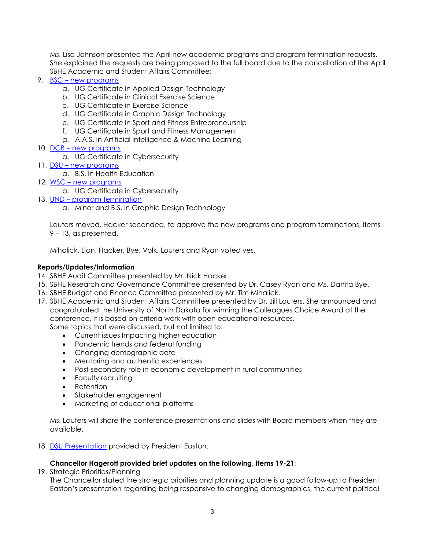Ms. Lisa Johnson presented the April new academic programs and program termination requests. She explained the requests are being proposed to the full board due to the cancellation of the April SBHE Academic and Student Affairs Committee:

- 9. [BSC](https://ndusbpos.sharepoint.com/:b:/s/NDUSSBHE/EVyA3LXdJIZCiPUEE6FzhFwB42ljuENK-sP1dNZ2lRAshg?e=RGGmsv) new programs
	- a. UG Certificate in Applied Design Technology
	- b. UG Certificate in Clinical Exercise Science
	- c. UG Certificate in Exercise Science
	- d. UG Certificate in Graphic Design Technology
	- e. UG Certificate in Sport and Fitness Entrepreneurship
	- f. UG Certificate in Sport and Fitness Management
	- g. A.A.S. in Artificial Intelligence & Machine Learning
- 10. [DCB](https://ndusbpos.sharepoint.com/:b:/s/NDUSSBHE/EWde8r2ajzNOnXpjjR5BHM0BaJIvCresKUddRd9nRtsh9w?e=R4CPX7) new programs
	- a. UG Certificate in Cybersecurity
- 11. [DSU](https://ndusbpos.sharepoint.com/:b:/s/NDUSSBHE/ESPU2sN6MflDuPJDYWlvvfQBbguQHdDIteo8uR-Ff8QQnQ?e=4EnjQQ) new programs
	- a. B.S. in Health Education
- 12. [WSC](https://ndusbpos.sharepoint.com/:b:/s/NDUSSBHE/EdqD3LPXd3tJtJuluVOyC3gB9KwEEppzNu4X1Kk_hjI_vA?e=tCSX8K) new programs
	- a. UG Certificate in Cybersecurity
- 13. [UND](https://ndusbpos.sharepoint.com/:b:/s/NDUSSBHE/ESwsHBbmVPlOvwG8ydqiTT0BozwB29ceGVytFulvDkdlmg?e=UkGdCo) program termination
	- a. Minor and B.S. in Graphic Design Technology

Louters moved, Hacker seconded, to approve the new programs and program terminations, items 9 – 13, as presented.

Mihalick, Lian, Hacker, Bye, Volk, Louters and Ryan voted yes.

# **Reports/Updates/Information**

- 14. SBHE Audit Committee presented by Mr. Nick Hacker.
- 15. SBHE Research and Governance Committee presented by Dr. Casey Ryan and Ms. Danita Bye.
- 16. SBHE Budget and Finance Committee presented by Mr. Tim Mihalick.
- 17. SBHE Academic and Student Affairs Committee presented by Dr. Jill Louters. She announced and congratulated the University of North Dakota for winning the Colleagues Choice Award at the conference, it is based on criteria work with open educational resources.

Some topics that were discussed, but not limited to:

- Current issues Impacting higher education
- Pandemic trends and federal funding
- Changing demographic data
- Mentoring and authentic experiences
- Post-secondary role in economic development in rural communities
- Faculty recruiting
- Retention
- Stakeholder engagement
- Marketing of educational platforms

Ms. Louters will share the conference presentations and slides with Board members when they are available.

18. [DSU Presentation](https://ndusbpos.sharepoint.com/:p:/s/NDUSSBHE/ERD1Y_JiLE1Oii_lk2CMBgEBTEZozsq9FCZTkcq5qtEnIw?e=oPJZK2) provided by President Easton.

# **Chancellor Hagerott provided brief updates on the following, items 19-21**:

19. Strategic Priorities/Planning

The Chancellor stated the strategic priorities and planning update is a good follow-up to President Easton's presentation regarding being responsive to changing demographics, the current political